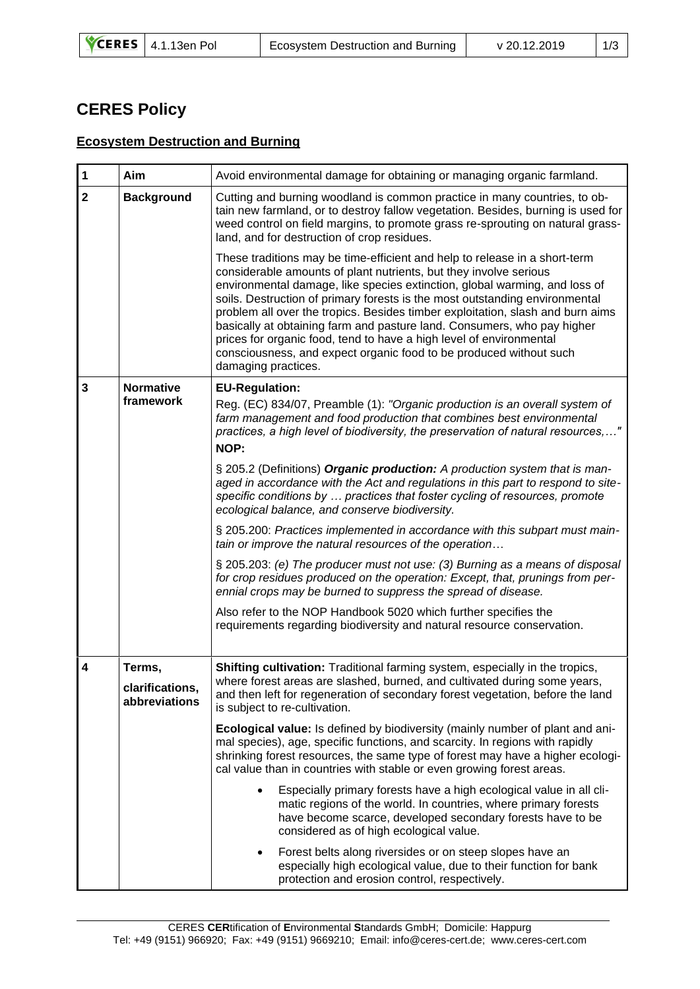## **CERES Policy**

## **Ecosystem Destruction and Burning**

| $\overline{\mathbf{1}}$ | Aim                                        | Avoid environmental damage for obtaining or managing organic farmland.                                                                                                                                                                                                                                                                                                                                                                                                                                                                                                                                                                        |
|-------------------------|--------------------------------------------|-----------------------------------------------------------------------------------------------------------------------------------------------------------------------------------------------------------------------------------------------------------------------------------------------------------------------------------------------------------------------------------------------------------------------------------------------------------------------------------------------------------------------------------------------------------------------------------------------------------------------------------------------|
| $\overline{\mathbf{2}}$ | <b>Background</b>                          | Cutting and burning woodland is common practice in many countries, to ob-<br>tain new farmland, or to destroy fallow vegetation. Besides, burning is used for<br>weed control on field margins, to promote grass re-sprouting on natural grass-<br>land, and for destruction of crop residues.                                                                                                                                                                                                                                                                                                                                                |
|                         |                                            | These traditions may be time-efficient and help to release in a short-term<br>considerable amounts of plant nutrients, but they involve serious<br>environmental damage, like species extinction, global warming, and loss of<br>soils. Destruction of primary forests is the most outstanding environmental<br>problem all over the tropics. Besides timber exploitation, slash and burn aims<br>basically at obtaining farm and pasture land. Consumers, who pay higher<br>prices for organic food, tend to have a high level of environmental<br>consciousness, and expect organic food to be produced without such<br>damaging practices. |
| 3                       | <b>Normative</b><br>framework              | <b>EU-Regulation:</b><br>Reg. (EC) 834/07, Preamble (1): "Organic production is an overall system of<br>farm management and food production that combines best environmental<br>practices, a high level of biodiversity, the preservation of natural resources,"<br>NOP:                                                                                                                                                                                                                                                                                                                                                                      |
|                         |                                            | § 205.2 (Definitions) Organic production: A production system that is man-<br>aged in accordance with the Act and regulations in this part to respond to site-<br>specific conditions by  practices that foster cycling of resources, promote<br>ecological balance, and conserve biodiversity.                                                                                                                                                                                                                                                                                                                                               |
|                         |                                            | § 205.200: Practices implemented in accordance with this subpart must main-<br>tain or improve the natural resources of the operation                                                                                                                                                                                                                                                                                                                                                                                                                                                                                                         |
|                         |                                            | § 205.203: (e) The producer must not use: (3) Burning as a means of disposal<br>for crop residues produced on the operation: Except, that, prunings from per-<br>ennial crops may be burned to suppress the spread of disease.                                                                                                                                                                                                                                                                                                                                                                                                                |
|                         |                                            | Also refer to the NOP Handbook 5020 which further specifies the<br>requirements regarding biodiversity and natural resource conservation.                                                                                                                                                                                                                                                                                                                                                                                                                                                                                                     |
| $\overline{\mathbf{4}}$ | Terms,<br>clarifications,<br>abbreviations | Shifting cultivation: Traditional farming system, especially in the tropics,<br>where forest areas are slashed, burned, and cultivated during some years,<br>and then left for regeneration of secondary forest vegetation, before the land<br>is subject to re-cultivation.                                                                                                                                                                                                                                                                                                                                                                  |
|                         |                                            | Ecological value: Is defined by biodiversity (mainly number of plant and ani-<br>mal species), age, specific functions, and scarcity. In regions with rapidly<br>shrinking forest resources, the same type of forest may have a higher ecologi-<br>cal value than in countries with stable or even growing forest areas.                                                                                                                                                                                                                                                                                                                      |
|                         |                                            | Especially primary forests have a high ecological value in all cli-<br>matic regions of the world. In countries, where primary forests<br>have become scarce, developed secondary forests have to be<br>considered as of high ecological value.                                                                                                                                                                                                                                                                                                                                                                                               |
|                         |                                            | Forest belts along riversides or on steep slopes have an<br>especially high ecological value, due to their function for bank<br>protection and erosion control, respectively.                                                                                                                                                                                                                                                                                                                                                                                                                                                                 |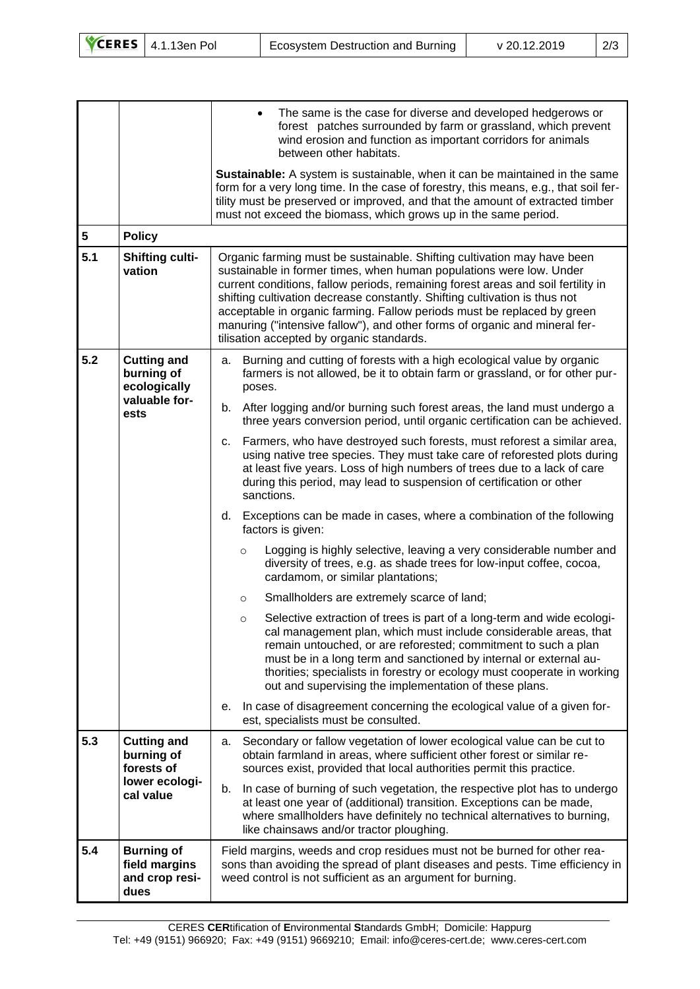|  | $\sqrt{\text{CERES}}$ 4.1.13en Pol | Ecosystem Destruction and Burning | v 20.12.2019 | 2/3 |
|--|------------------------------------|-----------------------------------|--------------|-----|
|--|------------------------------------|-----------------------------------|--------------|-----|

| 5<br>5.1 | <b>Policy</b><br><b>Shifting culti-</b><br>vation                             | The same is the case for diverse and developed hedgerows or<br>forest patches surrounded by farm or grassland, which prevent<br>wind erosion and function as important corridors for animals<br>between other habitats.<br>Sustainable: A system is sustainable, when it can be maintained in the same<br>form for a very long time. In the case of forestry, this means, e.g., that soil fer-<br>tility must be preserved or improved, and that the amount of extracted timber<br>must not exceed the biomass, which grows up in the same period.<br>Organic farming must be sustainable. Shifting cultivation may have been<br>sustainable in former times, when human populations were low. Under<br>current conditions, fallow periods, remaining forest areas and soil fertility in<br>shifting cultivation decrease constantly. Shifting cultivation is thus not<br>acceptable in organic farming. Fallow periods must be replaced by green<br>manuring ("intensive fallow"), and other forms of organic and mineral fer- |
|----------|-------------------------------------------------------------------------------|---------------------------------------------------------------------------------------------------------------------------------------------------------------------------------------------------------------------------------------------------------------------------------------------------------------------------------------------------------------------------------------------------------------------------------------------------------------------------------------------------------------------------------------------------------------------------------------------------------------------------------------------------------------------------------------------------------------------------------------------------------------------------------------------------------------------------------------------------------------------------------------------------------------------------------------------------------------------------------------------------------------------------------|
|          |                                                                               | tilisation accepted by organic standards.                                                                                                                                                                                                                                                                                                                                                                                                                                                                                                                                                                                                                                                                                                                                                                                                                                                                                                                                                                                       |
| 5.2      | <b>Cutting and</b><br>burning of<br>ecologically<br>valuable for-<br>ests     | Burning and cutting of forests with a high ecological value by organic<br>а.<br>farmers is not allowed, be it to obtain farm or grassland, or for other pur-<br>poses.                                                                                                                                                                                                                                                                                                                                                                                                                                                                                                                                                                                                                                                                                                                                                                                                                                                          |
|          |                                                                               | After logging and/or burning such forest areas, the land must undergo a<br>b.<br>three years conversion period, until organic certification can be achieved.                                                                                                                                                                                                                                                                                                                                                                                                                                                                                                                                                                                                                                                                                                                                                                                                                                                                    |
|          |                                                                               | Farmers, who have destroyed such forests, must reforest a similar area,<br>c.<br>using native tree species. They must take care of reforested plots during<br>at least five years. Loss of high numbers of trees due to a lack of care<br>during this period, may lead to suspension of certification or other<br>sanctions.                                                                                                                                                                                                                                                                                                                                                                                                                                                                                                                                                                                                                                                                                                    |
|          |                                                                               | d. Exceptions can be made in cases, where a combination of the following<br>factors is given:                                                                                                                                                                                                                                                                                                                                                                                                                                                                                                                                                                                                                                                                                                                                                                                                                                                                                                                                   |
|          |                                                                               | Logging is highly selective, leaving a very considerable number and<br>$\circ$<br>diversity of trees, e.g. as shade trees for low-input coffee, cocoa,<br>cardamom, or similar plantations;                                                                                                                                                                                                                                                                                                                                                                                                                                                                                                                                                                                                                                                                                                                                                                                                                                     |
|          |                                                                               | Smallholders are extremely scarce of land;<br>$\circ$                                                                                                                                                                                                                                                                                                                                                                                                                                                                                                                                                                                                                                                                                                                                                                                                                                                                                                                                                                           |
|          |                                                                               | Selective extraction of trees is part of a long-term and wide ecologi-<br>$\circ$<br>cal management plan, which must include considerable areas, that<br>remain untouched, or are reforested; commitment to such a plan<br>must be in a long term and sanctioned by internal or external au-<br>thorities; specialists in forestry or ecology must cooperate in working<br>out and supervising the implementation of these plans.                                                                                                                                                                                                                                                                                                                                                                                                                                                                                                                                                                                               |
|          |                                                                               | In case of disagreement concerning the ecological value of a given for-<br>е.<br>est, specialists must be consulted.                                                                                                                                                                                                                                                                                                                                                                                                                                                                                                                                                                                                                                                                                                                                                                                                                                                                                                            |
| 5.3      | <b>Cutting and</b><br>burning of<br>forests of<br>lower ecologi-<br>cal value | Secondary or fallow vegetation of lower ecological value can be cut to<br>a.<br>obtain farmland in areas, where sufficient other forest or similar re-<br>sources exist, provided that local authorities permit this practice.                                                                                                                                                                                                                                                                                                                                                                                                                                                                                                                                                                                                                                                                                                                                                                                                  |
|          |                                                                               | In case of burning of such vegetation, the respective plot has to undergo<br>b.<br>at least one year of (additional) transition. Exceptions can be made,<br>where smallholders have definitely no technical alternatives to burning,<br>like chainsaws and/or tractor ploughing.                                                                                                                                                                                                                                                                                                                                                                                                                                                                                                                                                                                                                                                                                                                                                |
| 5.4      | <b>Burning of</b><br>field margins<br>and crop resi-<br>dues                  | Field margins, weeds and crop residues must not be burned for other rea-<br>sons than avoiding the spread of plant diseases and pests. Time efficiency in<br>weed control is not sufficient as an argument for burning.                                                                                                                                                                                                                                                                                                                                                                                                                                                                                                                                                                                                                                                                                                                                                                                                         |